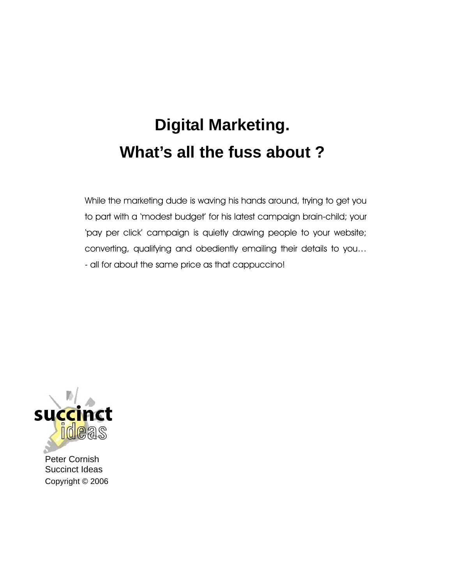# **Digital Marketing. What's all the fuss about ?**

While the marketing dude is waving his hands around, trying to get you to part with a 'modest budget' for his latest campaign brain-child; your 'pay per click' campaign is quietly drawing people to your website; converting, qualifying and obediently emailing their details to you… - all for about the same price as that cappuccino!



Peter Cornish Succinct Ideas Copyright © 2006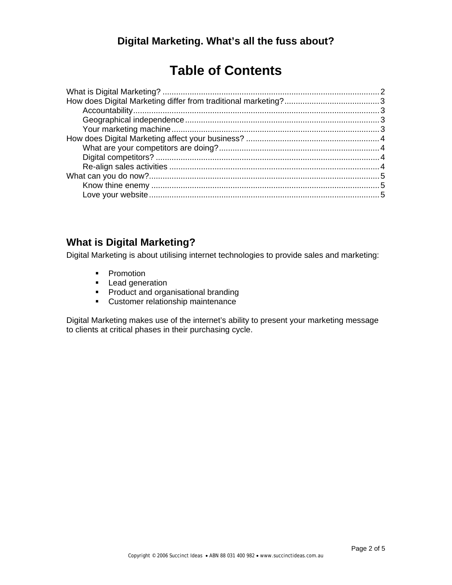# **Table of Contents**

# **What is Digital Marketing?**

Digital Marketing is about utilising internet technologies to provide sales and marketing:

- Promotion
- **Lead generation**
- **Product and organisational branding**
- **EXECUSTOMER THE CUSTOMER THE CUSTOMER THE CUSTOMER THE CONTENT**

Digital Marketing makes use of the internet's ability to present your marketing message to clients at critical phases in their purchasing cycle.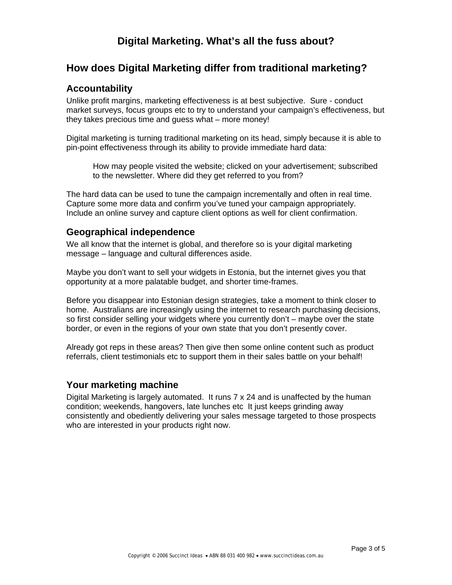# **Digital Marketing. What's all the fuss about?**

# **How does Digital Marketing differ from traditional marketing?**

#### **Accountability**

Unlike profit margins, marketing effectiveness is at best subjective. Sure - conduct market surveys, focus groups etc to try to understand your campaign's effectiveness, but they takes precious time and guess what – more money!

Digital marketing is turning traditional marketing on its head, simply because it is able to pin-point effectiveness through its ability to provide immediate hard data:

How may people visited the website; clicked on your advertisement; subscribed to the newsletter. Where did they get referred to you from?

The hard data can be used to tune the campaign incrementally and often in real time. Capture some more data and confirm you've tuned your campaign appropriately. Include an online survey and capture client options as well for client confirmation.

#### **Geographical independence**

We all know that the internet is global, and therefore so is your digital marketing message – language and cultural differences aside.

Maybe you don't want to sell your widgets in Estonia, but the internet gives you that opportunity at a more palatable budget, and shorter time-frames.

Before you disappear into Estonian design strategies, take a moment to think closer to home. Australians are increasingly using the internet to research purchasing decisions, so first consider selling your widgets where you currently don't – maybe over the state border, or even in the regions of your own state that you don't presently cover.

Already got reps in these areas? Then give then some online content such as product referrals, client testimonials etc to support them in their sales battle on your behalf!

#### **Your marketing machine**

Digital Marketing is largely automated. It runs 7 x 24 and is unaffected by the human condition; weekends, hangovers, late lunches etc It just keeps grinding away consistently and obediently delivering your sales message targeted to those prospects who are interested in your products right now.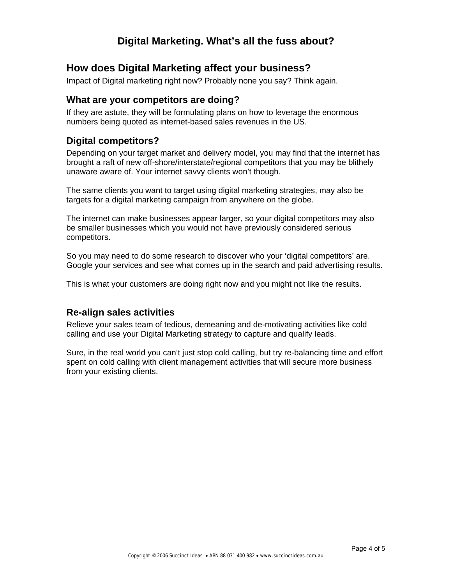# **Digital Marketing. What's all the fuss about?**

# **How does Digital Marketing affect your business?**

Impact of Digital marketing right now? Probably none you say? Think again.

#### **What are your competitors are doing?**

If they are astute, they will be formulating plans on how to leverage the enormous numbers being quoted as internet-based sales revenues in the US.

# **Digital competitors?**

Depending on your target market and delivery model, you may find that the internet has brought a raft of new off-shore/interstate/regional competitors that you may be blithely unaware aware of. Your internet savvy clients won't though.

The same clients you want to target using digital marketing strategies, may also be targets for a digital marketing campaign from anywhere on the globe.

The internet can make businesses appear larger, so your digital competitors may also be smaller businesses which you would not have previously considered serious competitors.

So you may need to do some research to discover who your 'digital competitors' are. Google your services and see what comes up in the search and paid advertising results.

This is what your customers are doing right now and you might not like the results.

#### **Re-align sales activities**

Relieve your sales team of tedious, demeaning and de-motivating activities like cold calling and use your Digital Marketing strategy to capture and qualify leads.

Sure, in the real world you can't just stop cold calling, but try re-balancing time and effort spent on cold calling with client management activities that will secure more business from your existing clients.